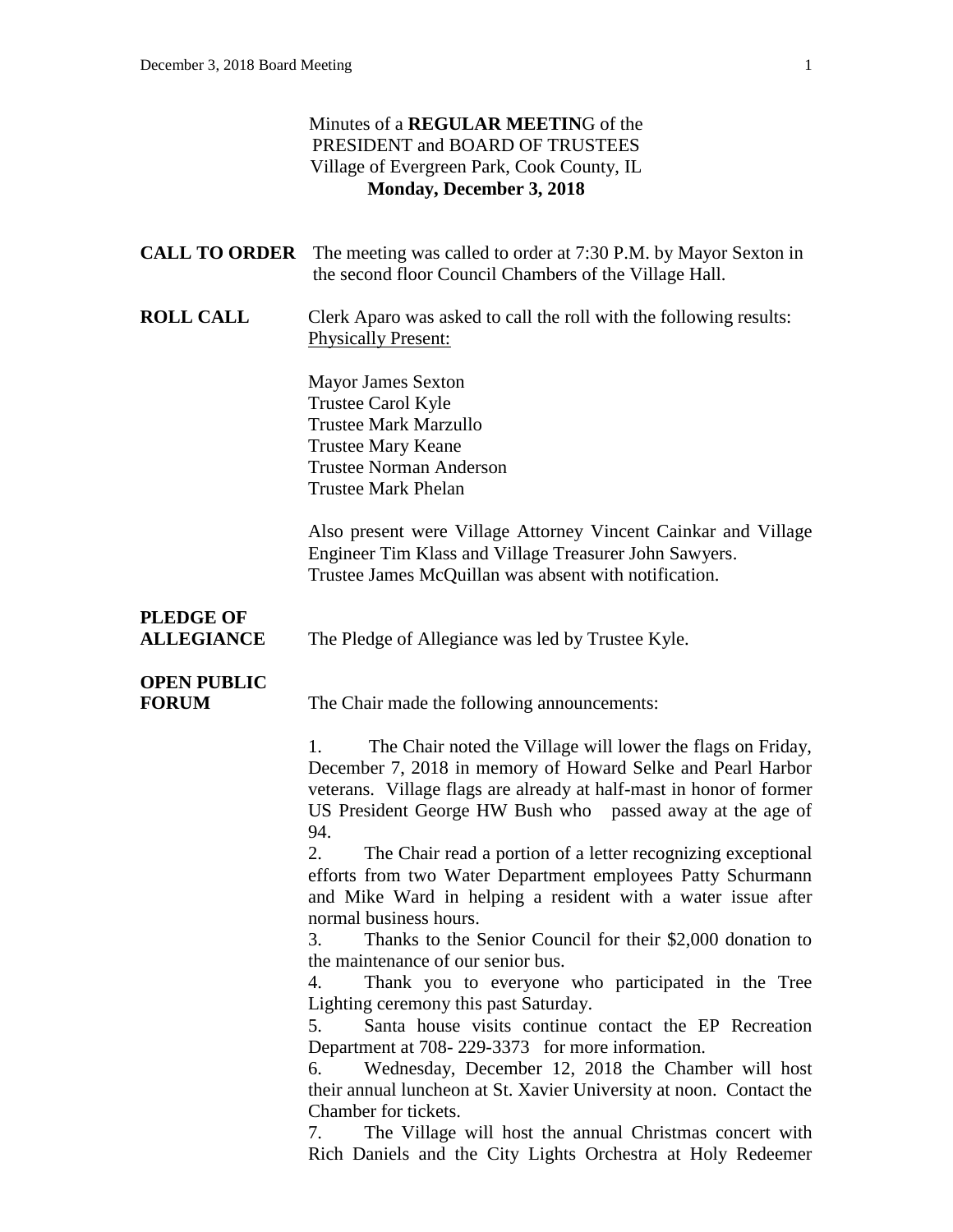#### Minutes of a **REGULAR MEETIN**G of the PRESIDENT and BOARD OF TRUSTEES Village of Evergreen Park, Cook County, IL **Monday, December 3, 2018**

|                                       | <b>CALL TO ORDER</b> The meeting was called to order at 7:30 P.M. by Mayor Sexton in<br>the second floor Council Chambers of the Village Hall.                                                                                                                              |
|---------------------------------------|-----------------------------------------------------------------------------------------------------------------------------------------------------------------------------------------------------------------------------------------------------------------------------|
| <b>ROLL CALL</b>                      | Clerk Aparo was asked to call the roll with the following results:<br><b>Physically Present:</b>                                                                                                                                                                            |
|                                       | <b>Mayor James Sexton</b><br>Trustee Carol Kyle<br><b>Trustee Mark Marzullo</b><br><b>Trustee Mary Keane</b><br><b>Trustee Norman Anderson</b><br><b>Trustee Mark Phelan</b>                                                                                                |
|                                       | Also present were Village Attorney Vincent Cainkar and Village<br>Engineer Tim Klass and Village Treasurer John Sawyers.<br>Trustee James McQuillan was absent with notification.                                                                                           |
| <b>PLEDGE OF</b><br><b>ALLEGIANCE</b> | The Pledge of Allegiance was led by Trustee Kyle.                                                                                                                                                                                                                           |
| <b>OPEN PUBLIC</b><br><b>FORUM</b>    | The Chair made the following announcements:                                                                                                                                                                                                                                 |
|                                       | The Chair noted the Village will lower the flags on Friday,<br>1.<br>December 7, 2018 in memory of Howard Selke and Pearl Harbor<br>veterans. Village flags are already at half-mast in honor of former<br>US President George HW Bush who passed away at the age of<br>94. |
|                                       | 2.<br>The Chair read a portion of a letter recognizing exceptional<br>efforts from two Water Department employees Patty Schurmann<br>and Mike Ward in helping a resident with a water issue after<br>normal business hours.                                                 |
|                                       | Thanks to the Senior Council for their \$2,000 donation to<br>3.<br>the maintenance of our senior bus.<br>Thank you to everyone who participated in the Tree<br>4.<br>Lighting ceremony this past Saturday.<br>Santa house visits continue contact the EP Recreation<br>5.  |
|                                       | Department at 708-229-3373 for more information.<br>Wednesday, December 12, 2018 the Chamber will host<br>6.<br>their annual luncheon at St. Xavier University at noon. Contact the<br>Chamber for tickets.                                                                 |
|                                       | The Village will host the annual Christmas concert with<br>7.<br>Rich Daniels and the City Lights Orchestra at Holy Redeemer                                                                                                                                                |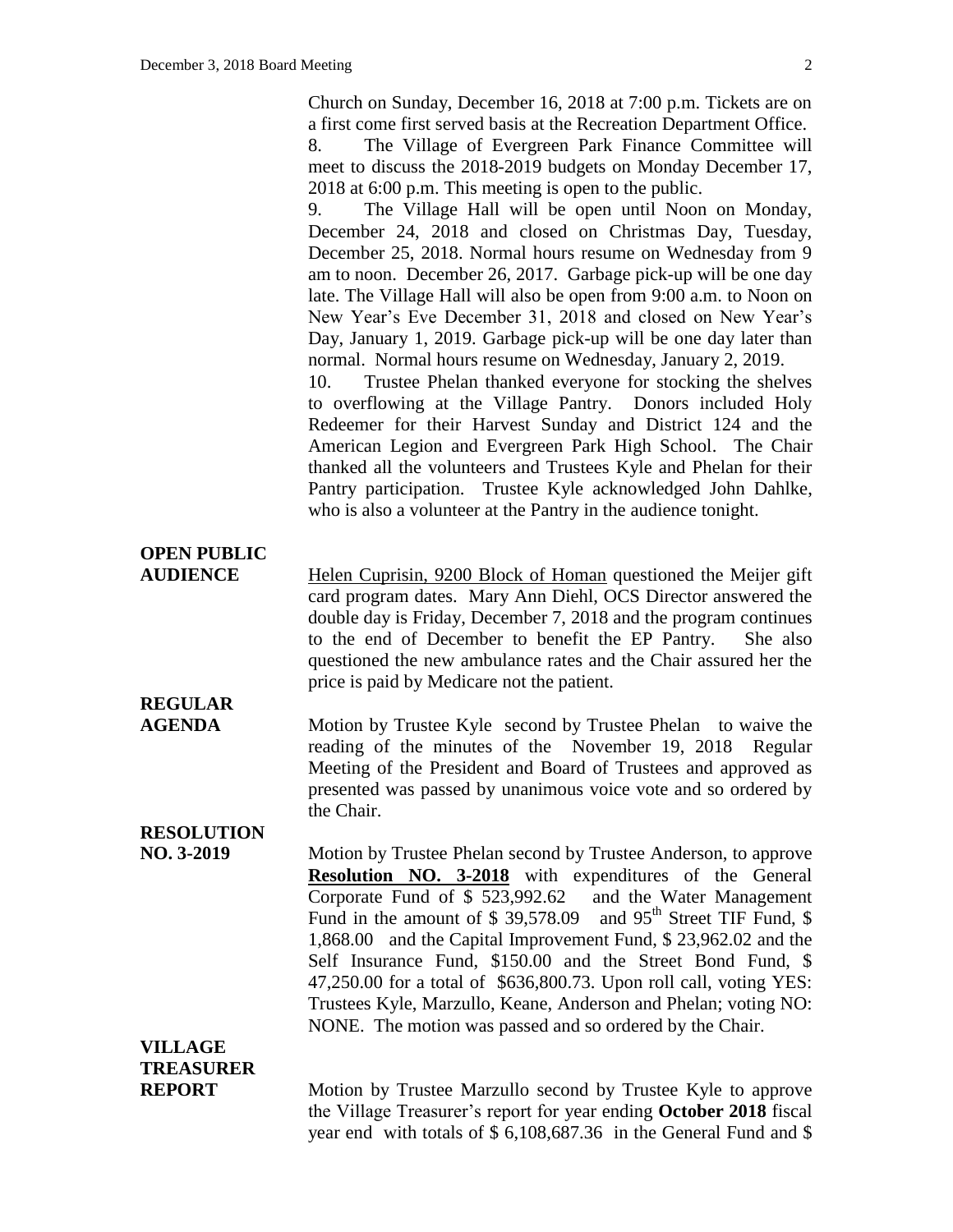Church on Sunday, December 16, 2018 at 7:00 p.m. Tickets are on a first come first served basis at the Recreation Department Office. 8. The Village of Evergreen Park Finance Committee will meet to discuss the 2018-2019 budgets on Monday December 17, 2018 at 6:00 p.m. This meeting is open to the public.

9. The Village Hall will be open until Noon on Monday, December 24, 2018 and closed on Christmas Day, Tuesday, December 25, 2018. Normal hours resume on Wednesday from 9 am to noon. December 26, 2017. Garbage pick-up will be one day late. The Village Hall will also be open from 9:00 a.m. to Noon on New Year's Eve December 31, 2018 and closed on New Year's Day, January 1, 2019. Garbage pick-up will be one day later than normal. Normal hours resume on Wednesday, January 2, 2019.

10. Trustee Phelan thanked everyone for stocking the shelves to overflowing at the Village Pantry. Donors included Holy Redeemer for their Harvest Sunday and District 124 and the American Legion and Evergreen Park High School. The Chair thanked all the volunteers and Trustees Kyle and Phelan for their Pantry participation. Trustee Kyle acknowledged John Dahlke, who is also a volunteer at the Pantry in the audience tonight.

**AUDIENCE** Helen Cuprisin, 9200 Block of Homan questioned the Meijer gift card program dates. Mary Ann Diehl, OCS Director answered the double day is Friday, December 7, 2018 and the program continues to the end of December to benefit the EP Pantry. She also questioned the new ambulance rates and the Chair assured her the price is paid by Medicare not the patient.

# **REGULAR**

**OPEN PUBLIC**

**AGENDA** Motion by Trustee Kyle second by Trustee Phelan to waive the reading of the minutes of the November 19, 2018 Regular Meeting of the President and Board of Trustees and approved as presented was passed by unanimous voice vote and so ordered by the Chair.

### **RESOLUTION**

**NO. 3-2019** Motion by Trustee Phelan second by Trustee Anderson, to approve **Resolution NO. 3-2018** with expenditures of the General Corporate Fund of \$ 523,992.62 and the Water Management Fund in the amount of  $$39,578.09$  and  $95<sup>th</sup>$  Street TIF Fund,  $$$ 1,868.00 and the Capital Improvement Fund, \$ 23,962.02 and the Self Insurance Fund, \$150.00 and the Street Bond Fund, \$ 47,250.00 for a total of \$636,800.73. Upon roll call, voting YES: Trustees Kyle, Marzullo, Keane, Anderson and Phelan; voting NO: NONE. The motion was passed and so ordered by the Chair.

### **VILLAGE TREASURER**

**REPORT** Motion by Trustee Marzullo second by Trustee Kyle to approve the Village Treasurer's report for year ending **October 2018** fiscal year end with totals of \$ 6,108,687.36 in the General Fund and \$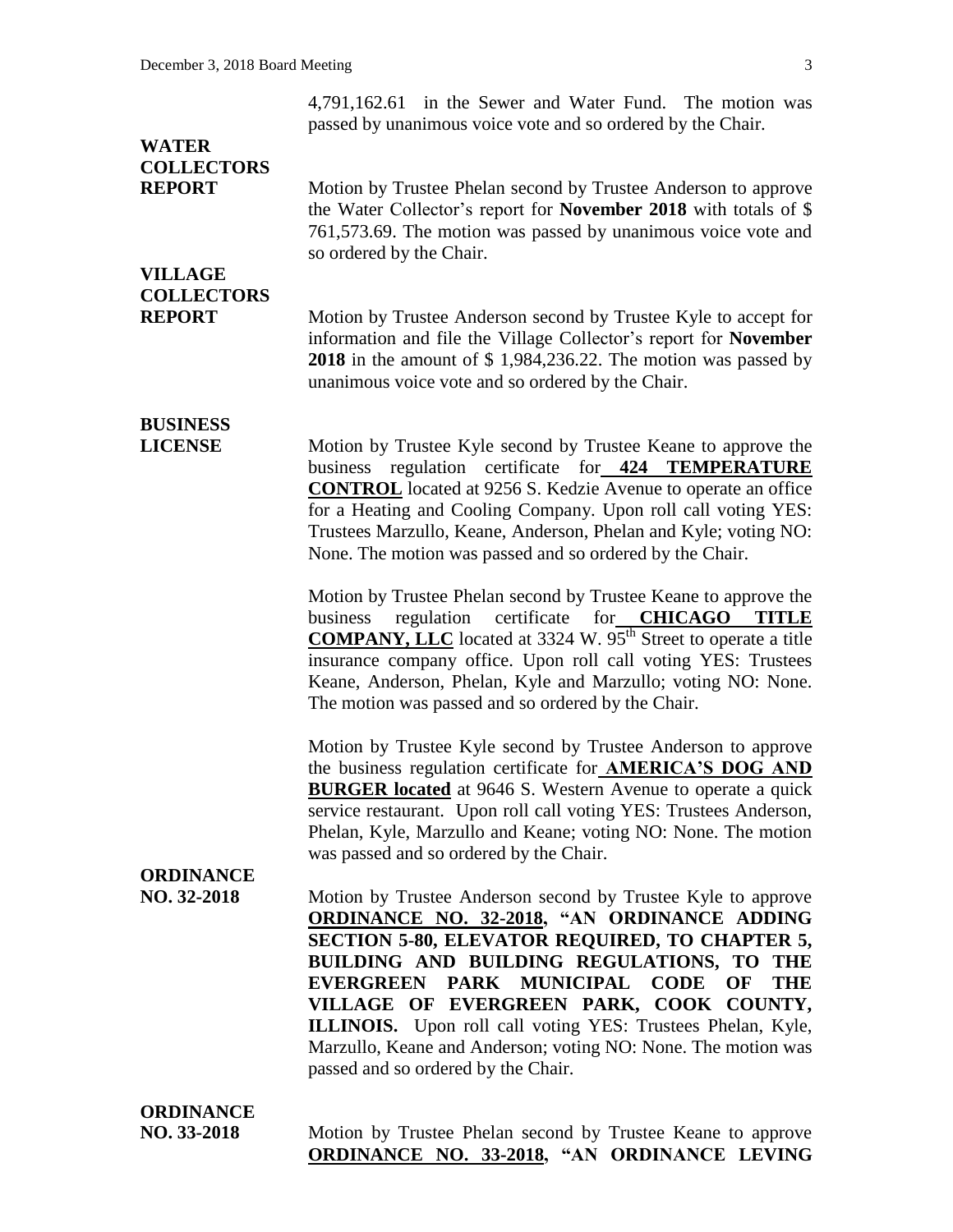4,791,162.61 in the Sewer and Water Fund. The motion was passed by unanimous voice vote and so ordered by the Chair.

## **WATER COLLECTORS**

**REPORT** Motion by Trustee Phelan second by Trustee Anderson to approve the Water Collector's report for **November 2018** with totals of \$ 761,573.69. The motion was passed by unanimous voice vote and so ordered by the Chair.

## **VILLAGE COLLECTORS**

**REPORT** Motion by Trustee Anderson second by Trustee Kyle to accept for information and file the Village Collector's report for **November 2018** in the amount of \$ 1,984,236.22. The motion was passed by unanimous voice vote and so ordered by the Chair.

# **BUSINESS**

**LICENSE** Motion by Trustee Kyle second by Trustee Keane to approve the business regulation certificate for **424 TEMPERATURE CONTROL** located at 9256 S. Kedzie Avenue to operate an office for a Heating and Cooling Company. Upon roll call voting YES: Trustees Marzullo, Keane, Anderson, Phelan and Kyle; voting NO: None. The motion was passed and so ordered by the Chair.

> Motion by Trustee Phelan second by Trustee Keane to approve the business regulation certificate for **CHICAGO TITLE COMPANY, LLC** located at 3324 W. 95<sup>th</sup> Street to operate a title insurance company office. Upon roll call voting YES: Trustees Keane, Anderson, Phelan, Kyle and Marzullo; voting NO: None. The motion was passed and so ordered by the Chair.

> Motion by Trustee Kyle second by Trustee Anderson to approve the business regulation certificate for **AMERICA'S DOG AND BURGER located** at 9646 S. Western Avenue to operate a quick service restaurant. Upon roll call voting YES: Trustees Anderson, Phelan, Kyle, Marzullo and Keane; voting NO: None. The motion was passed and so ordered by the Chair.

#### **ORDINANCE**

**NO. 32-2018** Motion by Trustee Anderson second by Trustee Kyle to approve **ORDINANCE NO. 32-2018, "AN ORDINANCE ADDING SECTION 5-80, ELEVATOR REQUIRED, TO CHAPTER 5, BUILDING AND BUILDING REGULATIONS, TO THE EVERGREEN PARK MUNICIPAL CODE OF THE VILLAGE OF EVERGREEN PARK, COOK COUNTY, ILLINOIS.** Upon roll call voting YES: Trustees Phelan, Kyle, Marzullo, Keane and Anderson; voting NO: None. The motion was passed and so ordered by the Chair.

# **ORDINANCE**

**NO. 33-2018** Motion by Trustee Phelan second by Trustee Keane to approve **ORDINANCE NO. 33-2018, "AN ORDINANCE LEVING**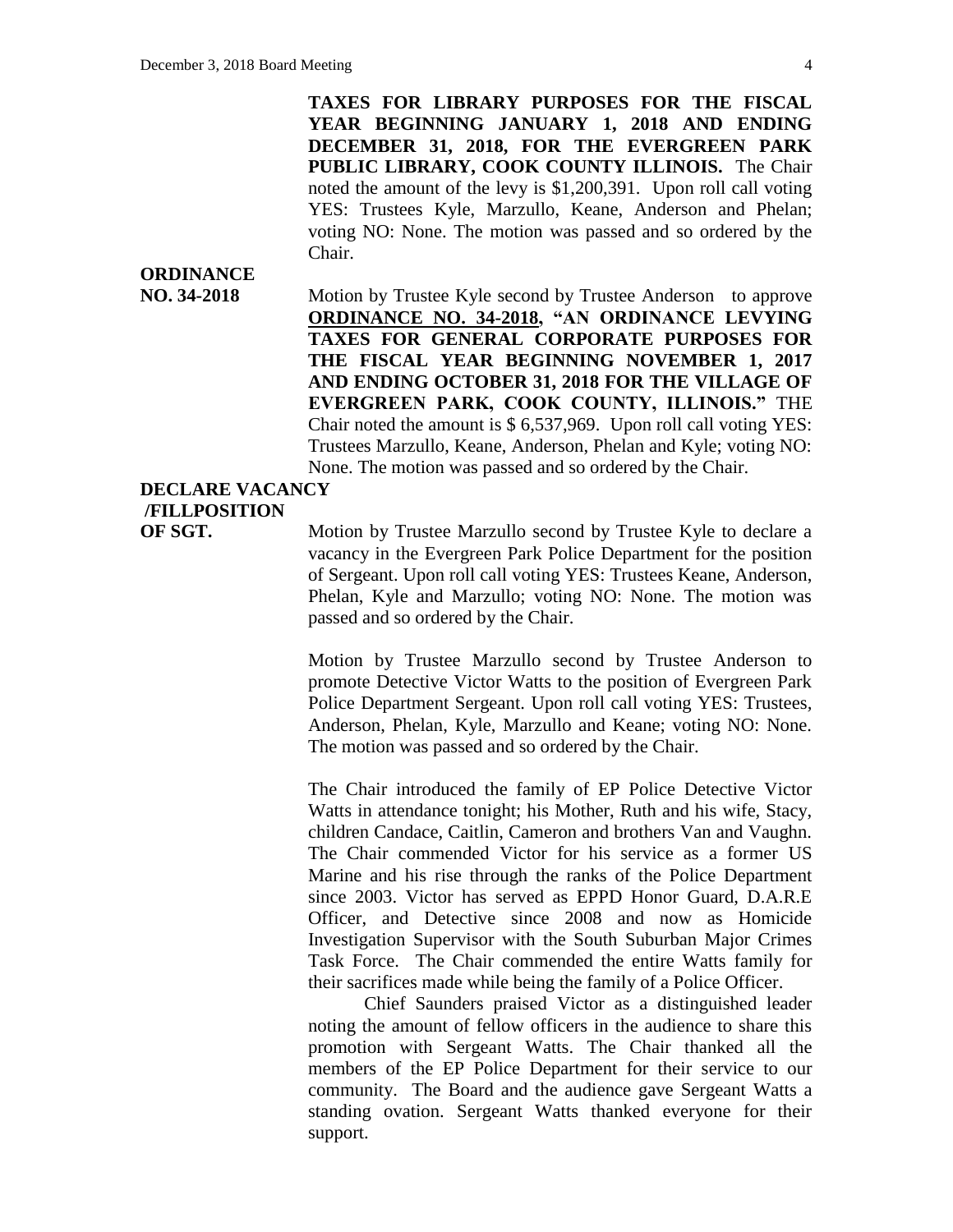**TAXES FOR LIBRARY PURPOSES FOR THE FISCAL YEAR BEGINNING JANUARY 1, 2018 AND ENDING DECEMBER 31, 2018, FOR THE EVERGREEN PARK PUBLIC LIBRARY, COOK COUNTY ILLINOIS.** The Chair noted the amount of the levy is \$1,200,391. Upon roll call voting YES: Trustees Kyle, Marzullo, Keane, Anderson and Phelan; voting NO: None. The motion was passed and so ordered by the Chair.

# **ORDINANCE**

**NO. 34-2018** Motion by Trustee Kyle second by Trustee Anderson to approve **ORDINANCE NO. 34-2018, "AN ORDINANCE LEVYING TAXES FOR GENERAL CORPORATE PURPOSES FOR THE FISCAL YEAR BEGINNING NOVEMBER 1, 2017 AND ENDING OCTOBER 31, 2018 FOR THE VILLAGE OF EVERGREEN PARK, COOK COUNTY, ILLINOIS."** THE Chair noted the amount is \$ 6,537,969. Upon roll call voting YES: Trustees Marzullo, Keane, Anderson, Phelan and Kyle; voting NO: None. The motion was passed and so ordered by the Chair.

### **DECLARE VACANCY /FILLPOSITION**

**OF SGT.** Motion by Trustee Marzullo second by Trustee Kyle to declare a vacancy in the Evergreen Park Police Department for the position of Sergeant. Upon roll call voting YES: Trustees Keane, Anderson, Phelan, Kyle and Marzullo; voting NO: None. The motion was passed and so ordered by the Chair.

> Motion by Trustee Marzullo second by Trustee Anderson to promote Detective Victor Watts to the position of Evergreen Park Police Department Sergeant. Upon roll call voting YES: Trustees*,*  Anderson, Phelan, Kyle, Marzullo and Keane; voting NO: None. The motion was passed and so ordered by the Chair.

> The Chair introduced the family of EP Police Detective Victor Watts in attendance tonight; his Mother, Ruth and his wife, Stacy, children Candace, Caitlin, Cameron and brothers Van and Vaughn. The Chair commended Victor for his service as a former US Marine and his rise through the ranks of the Police Department since 2003. Victor has served as EPPD Honor Guard, D.A.R.E Officer, and Detective since 2008 and now as Homicide Investigation Supervisor with the South Suburban Major Crimes Task Force. The Chair commended the entire Watts family for their sacrifices made while being the family of a Police Officer.

> Chief Saunders praised Victor as a distinguished leader noting the amount of fellow officers in the audience to share this promotion with Sergeant Watts. The Chair thanked all the members of the EP Police Department for their service to our community. The Board and the audience gave Sergeant Watts a standing ovation. Sergeant Watts thanked everyone for their support.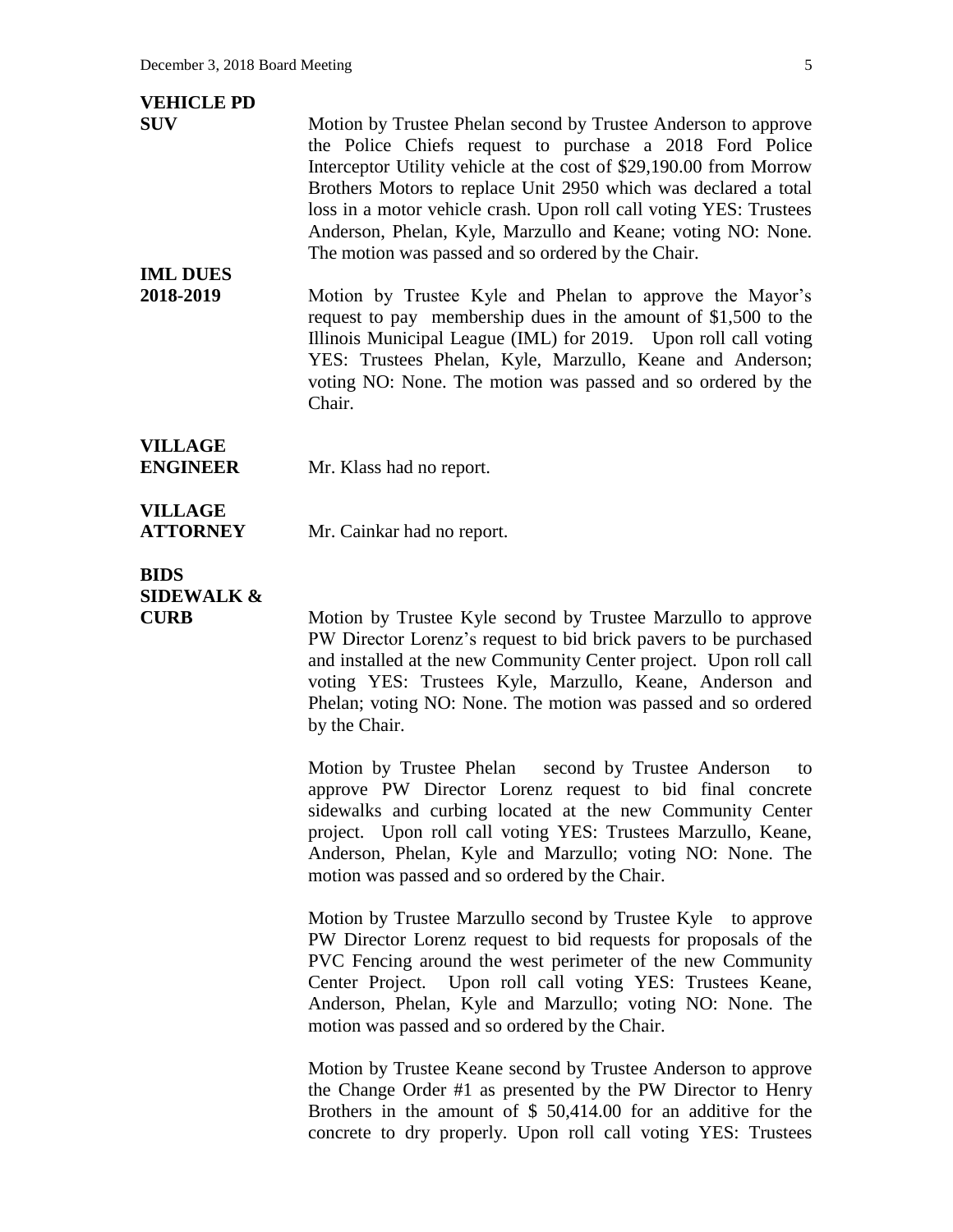| <b>VEHICLE PD</b><br><b>SUV</b><br><b>IML DUES</b><br>2018-2019 | Motion by Trustee Phelan second by Trustee Anderson to approve<br>the Police Chiefs request to purchase a 2018 Ford Police<br>Interceptor Utility vehicle at the cost of \$29,190.00 from Morrow<br>Brothers Motors to replace Unit 2950 which was declared a total<br>loss in a motor vehicle crash. Upon roll call voting YES: Trustees<br>Anderson, Phelan, Kyle, Marzullo and Keane; voting NO: None.<br>The motion was passed and so ordered by the Chair.<br>Motion by Trustee Kyle and Phelan to approve the Mayor's<br>request to pay membership dues in the amount of \$1,500 to the<br>Illinois Municipal League (IML) for 2019. Upon roll call voting<br>YES: Trustees Phelan, Kyle, Marzullo, Keane and Anderson;<br>voting NO: None. The motion was passed and so ordered by the<br>Chair. |
|-----------------------------------------------------------------|---------------------------------------------------------------------------------------------------------------------------------------------------------------------------------------------------------------------------------------------------------------------------------------------------------------------------------------------------------------------------------------------------------------------------------------------------------------------------------------------------------------------------------------------------------------------------------------------------------------------------------------------------------------------------------------------------------------------------------------------------------------------------------------------------------|
| <b>VILLAGE</b><br><b>ENGINEER</b>                               | Mr. Klass had no report.                                                                                                                                                                                                                                                                                                                                                                                                                                                                                                                                                                                                                                                                                                                                                                                |
| <b>VILLAGE</b><br><b>ATTORNEY</b>                               | Mr. Cainkar had no report.                                                                                                                                                                                                                                                                                                                                                                                                                                                                                                                                                                                                                                                                                                                                                                              |
| <b>BIDS</b><br><b>SIDEWALK &amp;</b><br><b>CURB</b>             | Motion by Trustee Kyle second by Trustee Marzullo to approve<br>PW Director Lorenz's request to bid brick pavers to be purchased<br>and installed at the new Community Center project. Upon roll call<br>voting YES: Trustees Kyle, Marzullo, Keane, Anderson and<br>Phelan; voting NO: None. The motion was passed and so ordered<br>by the Chair.                                                                                                                                                                                                                                                                                                                                                                                                                                                     |
|                                                                 | second by Trustee Anderson<br>Motion by Trustee Phelan<br>to<br>approve PW Director Lorenz request to bid final concrete<br>sidewalks and curbing located at the new Community Center<br>project. Upon roll call voting YES: Trustees Marzullo, Keane,<br>Anderson, Phelan, Kyle and Marzullo; voting NO: None. The<br>motion was passed and so ordered by the Chair.                                                                                                                                                                                                                                                                                                                                                                                                                                   |
|                                                                 | Motion by Trustee Marzullo second by Trustee Kyle<br>to approve<br>PW Director Lorenz request to bid requests for proposals of the<br>PVC Fencing around the west perimeter of the new Community<br>Center Project. Upon roll call voting YES: Trustees Keane,<br>Anderson, Phelan, Kyle and Marzullo; voting NO: None. The<br>motion was passed and so ordered by the Chair.                                                                                                                                                                                                                                                                                                                                                                                                                           |
|                                                                 | Motion by Trustee Keane second by Trustee Anderson to approve<br>the Change Order #1 as presented by the PW Director to Henry<br>Brothers in the amount of $$50,414.00$ for an additive for the<br>concrete to dry properly. Upon roll call voting YES: Trustees                                                                                                                                                                                                                                                                                                                                                                                                                                                                                                                                        |